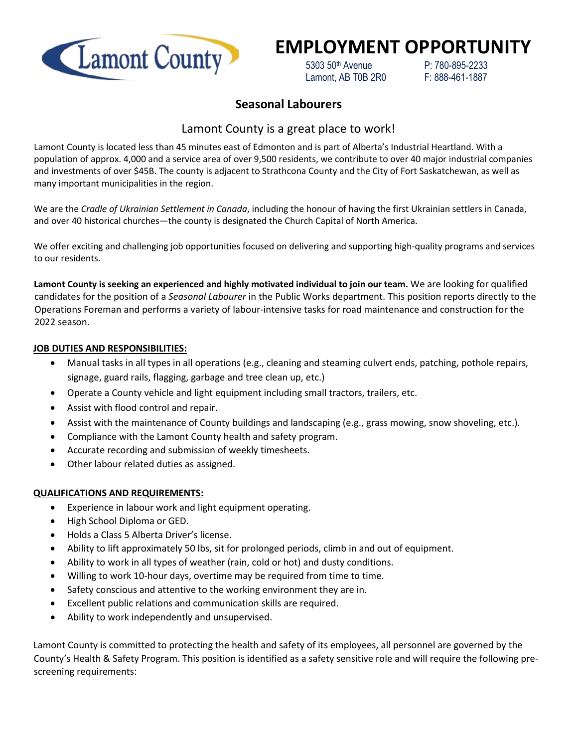

# **EMPLOYMENT OPPORTUNITY**

 5303 50th Avenue P: 780-895-2233 Lamont, AB T0B 2R0 F: 888-461-1887

### **Seasonal Labourers**

## Lamont County is a great place to work!

Lamont County is located less than 45 minutes east of Edmonton and is part of Alberta's Industrial Heartland. With a population of approx. 4,000 and a service area of over 9,500 residents, we contribute to over 40 major industrial companies and investments of over \$45B. The county is adjacent to Strathcona County and the City of Fort Saskatchewan, as well as many important municipalities in the region.

We are the *Cradle of Ukrainian Settlement in Canada*, including the honour of having the first Ukrainian settlers in Canada, and over 40 historical churches—the county is designated the Church Capital of North America.

We offer exciting and challenging job opportunities focused on delivering and supporting high-quality programs and services to our residents.

**Lamont County is seeking an experienced and highly motivated individual to join our team.** We are looking for qualified candidates for the position of a *Seasonal Labourer* in the Public Works department. This position reports directly to the Operations Foreman and performs a variety of labour-intensive tasks for road maintenance and construction for the 2022 season.

#### **JOB DUTIES AND RESPONSIBILITIES:**

- Manual tasks in all types in all operations (e.g., cleaning and steaming culvert ends, patching, pothole repairs, signage, guard rails, flagging, garbage and tree clean up, etc.)
- Operate a County vehicle and light equipment including small tractors, trailers, etc.
- Assist with flood control and repair.
- Assist with the maintenance of County buildings and landscaping (e.g., grass mowing, snow shoveling, etc.).
- Compliance with the Lamont County health and safety program.
- Accurate recording and submission of weekly timesheets.
- Other labour related duties as assigned.

#### **QUALIFICATIONS AND REQUIREMENTS:**

- Experience in labour work and light equipment operating.
- High School Diploma or GED.
- Holds a Class 5 Alberta Driver's license.
- Ability to lift approximately 50 lbs, sit for prolonged periods, climb in and out of equipment.
- Ability to work in all types of weather (rain, cold or hot) and dusty conditions.
- Willing to work 10-hour days, overtime may be required from time to time.
- Safety conscious and attentive to the working environment they are in.
- Excellent public relations and communication skills are required.
- Ability to work independently and unsupervised.

Lamont County is committed to protecting the health and safety of its employees, all personnel are governed by the County's Health & Safety Program. This position is identified as a safety sensitive role and will require the following prescreening requirements: